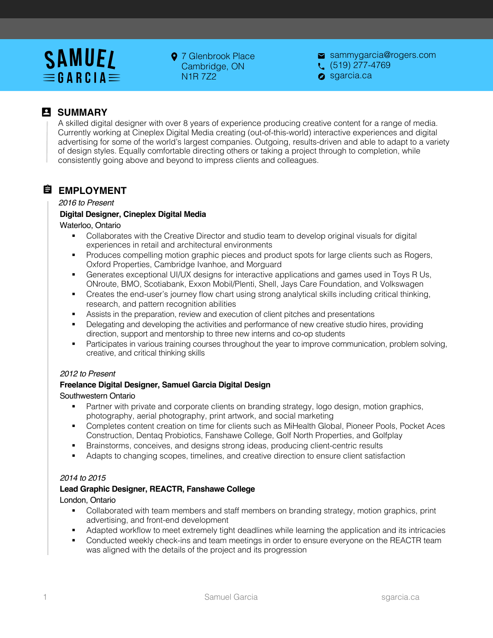# **SAMUEL**  $\equiv$  G A R C I A  $\equiv$

**9** 7 Glenbrook Place Cambridge, ON N1R 7Z2

sammygarcia@rogers.com  $\left(519\right)277-4769$ 

sgarcia.ca

## **B** SUMMARY

A skilled digital designer with over 8 years of experience producing creative content for a range of media. Currently working at Cineplex Digital Media creating (out-of-this-world) interactive experiences and digital advertising for some of the world's largest companies. Outgoing, results-driven and able to adapt to a variety of design styles. Equally comfortable directing others or taking a project through to completion, while consistently going above and beyond to impress clients and colleagues.

## **EMPLOYMENT**

#### *2016 to Present*

## **Digital Designer, Cineplex Digital Media**

#### Waterloo, Ontario

- § Collaborates with the Creative Director and studio team to develop original visuals for digital experiences in retail and architectural environments
- § Produces compelling motion graphic pieces and product spots for large clients such as Rogers, Oxford Properties, Cambridge Ivanhoe, and Morguard
- Generates exceptional UI/UX designs for interactive applications and games used in Toys R Us, ONroute, BMO, Scotiabank, Exxon Mobil/Plenti, Shell, Jays Care Foundation, and Volkswagen
- Creates the end-user's journey flow chart using strong analytical skills including critical thinking, research, and pattern recognition abilities
- Assists in the preparation, review and execution of client pitches and presentations
- Delegating and developing the activities and performance of new creative studio hires, providing direction, support and mentorship to three new interns and co-op students
- Participates in various training courses throughout the year to improve communication, problem solving, creative, and critical thinking skills

#### *2012 to Present*

#### **Freelance Digital Designer, Samuel Garcia Digital Design**

#### Southwestern Ontario

- Partner with private and corporate clients on branding strategy, logo design, motion graphics, photography, aerial photography, print artwork, and social marketing
- § Completes content creation on time for clients such as MiHealth Global, Pioneer Pools, Pocket Aces Construction, Dentaq Probiotics, Fanshawe College, Golf North Properties, and Golfplay
- § Brainstorms, conceives, and designs strong ideas, producing client-centric results
- Adapts to changing scopes, timelines, and creative direction to ensure client satisfaction

## *2014 to 2015*

#### **Lead Graphic Designer, REACTR, Fanshawe College**

#### London, Ontario

- § Collaborated with team members and staff members on branding strategy, motion graphics, print advertising, and front-end development
- § Adapted workflow to meet extremely tight deadlines while learning the application and its intricacies
- Conducted weekly check-ins and team meetings in order to ensure everyone on the REACTR team was aligned with the details of the project and its progression